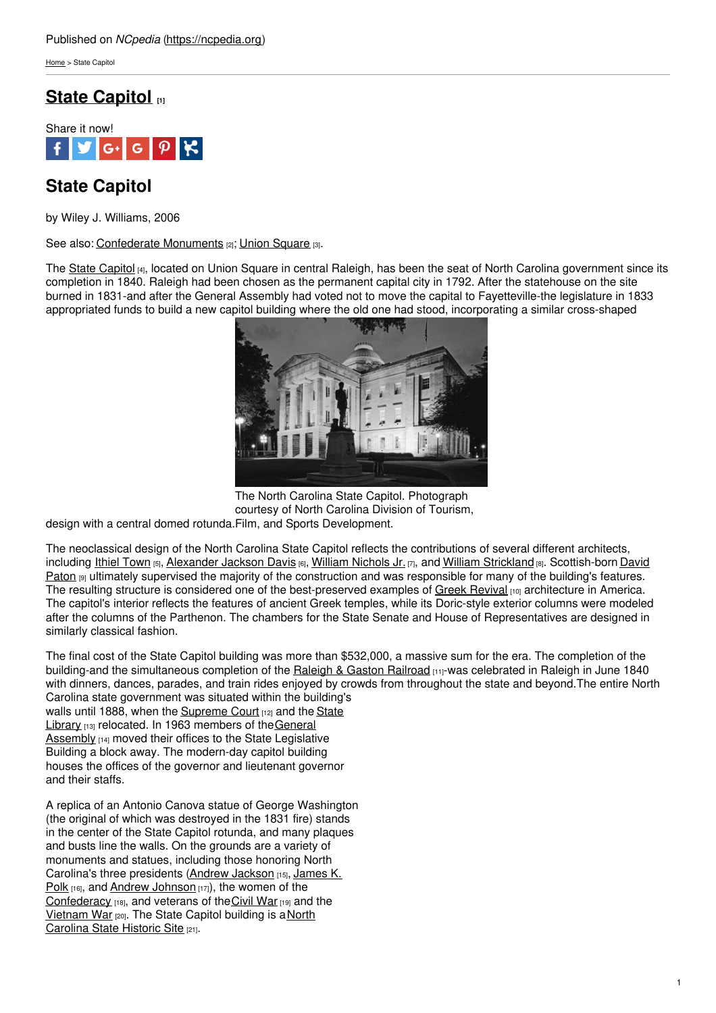[Home](https://ncpedia.org/) > State Capitol

## **State [Capitol](https://ncpedia.org/state-capitol) [1]**



# **State Capitol**

by Wiley J. Williams, 2006

See also: [Confederate](https://ncpedia.org/confederate-monuments) Monuments [2]; Union [Square](https://ncpedia.org/union-square) [3].

The State [Capitol](http://www.ncstatecapitol.org/) [4], located on Union Square in central Raleigh, has been the seat of North Carolina government since its completion in 1840. Raleigh had been chosen as the permanent capital city in 1792. After the statehouse on the site burned in 1831-and after the General Assembly had voted not to move the capital to Fayetteville-the legislature in 1833 appropriated funds to build a new capitol [building](http://www.social9.com) where the old one had stood, incorporating a similar cross-shaped



The North Carolina State Capitol. Photograph courtesy of North Carolina Division of Tourism,

design with a central domed rotunda. Film, and Sports Development.

The neoclassical design of the North Carolina State Capitol reflects the contributions of several different architects, including Ithiel [Town](http://ncarchitects.lib.ncsu.edu/people/P000032) [5], [Alexander](https://ncpedia.org/biography/davis-alexander-jackson) Jackson Davis [6], William [Nichols](http://ncarchitects.lib.ncsu.edu/people/P000026) Jr. [7], and William [Strickland](http://ncarchitects.lib.ncsu.edu/people/P000022) [8]. [Scottish-born](http://ncarchitects.lib.ncsu.edu/people/P000021) David Paton  $[9]$  ultimately supervised the majority of the construction and was responsible for many of the building's features. The resulting structure is considered one of the best-preserved examples of Greek [Revival](http://www.bc.edu/bc_org/avp/cas/fnart/fa267/greekrev.html) [10] architecture in America. The capitol's interior reflects the features of ancient Greek temples, while its Doric-style exterior columns were modeled after the columns of the Parthenon. The chambers for the State Senate and House of Representatives are designed in similarly classical fashion.

The final cost of the State Capitol building was more than \$532,000, a massive sum for the era. The completion of the building-and the simultaneous completion of the Raleigh & Gaston [Railroad](https://www.ncdcr.gov/about/history/division-historical-resources/nc-highway-historical-marker-program/Markers.aspx?MarkerId=H-23) [11]-was celebrated in Raleigh in June 1840 with dinners, dances, parades, and train rides enjoyed by crowds from throughout the state and beyond.The entire North Carolina state government was situated within the building's walls until 1888, when the [Supreme](https://ncpedia.org/supreme-court-north-carolina) Court [12] and the State Library [13] re[l](https://statelibrary.ncdcr.gov/)ocated. In 1963 members of the General Assembly [14] moved their offices to the State Legislative Building a block away. The modern-day capitol building houses the offices of the governor and lieutenant governor and their staffs.

A replica of an Antonio Canova statue of George Washington (the original of which was destroyed in the 1831 fire) stands in the center of the State Capitol rotunda, and many plaques and busts line the walls. On the grounds are a variety of monuments and statues, including those honoring North Carolina's three [presidents](https://ncpedia.org/biography/polk-james) (Andrew [Jackson](https://ncpedia.org/jackson-andrew-unc-press-dncb) [15], James K. Polk [16], and Andrew [Johnson](https://ncpedia.org/johnson-andrew) [17]), the women of the [Confederacy](https://ncpedia.org/confederate-party) [18], and veterans of the [Civil](https://ncpedia.org/history/cw-1900/civil-war) War [19] and the [Vietnam](https://ncpedia.org/state-historic-sites-program) War [20]. The State Capitol building is a North Carolina State Historic Site [21].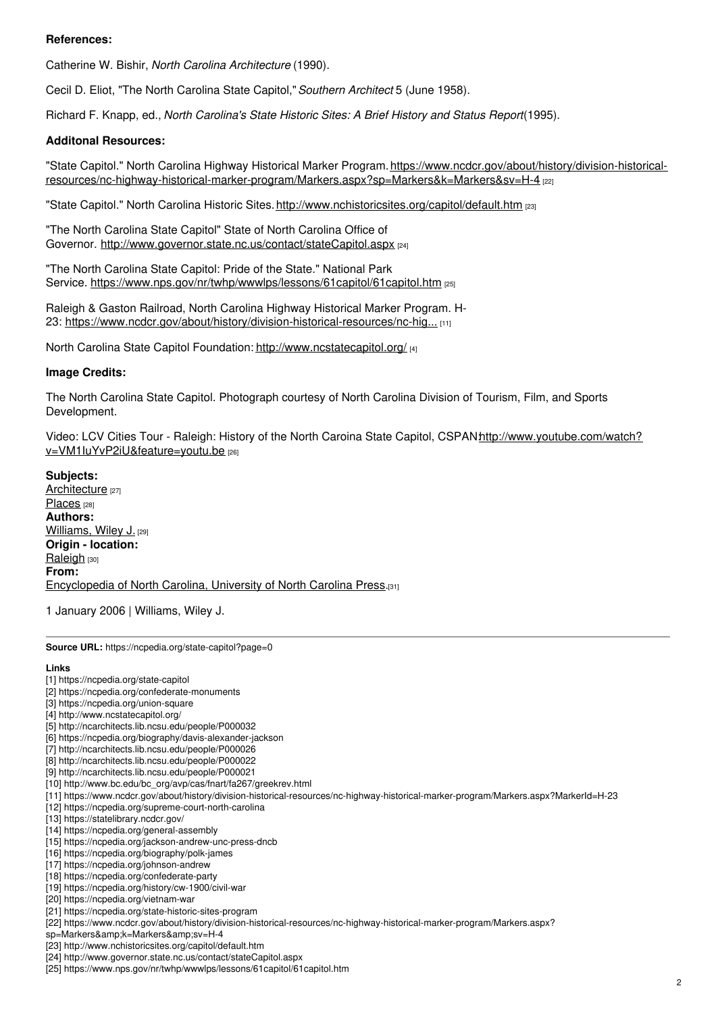### **References:**

Catherine W. Bishir, *North Carolina Architecture* (1990).

Cecil D. Eliot, "The North Carolina State Capitol,"*Southern Architect* 5 (June 1958).

Richard F. Knapp, ed., *North Carolina's State Historic Sites: A Brief History and Status Report*(1995).

### **Additonal Resources:**

"State Capitol." North Carolina Highway Historical Marker Program.https://www.ncdcr.gov/about/history/division-historical[resources/nc-highway-historical-marker-program/Markers.aspx?sp=Markers&k=Markers&sv=H-4](https://www.ncdcr.gov/about/history/division-historical-resources/nc-highway-historical-marker-program/Markers.aspx?sp=Markers&k=Markers&sv=H-4) [22]

"State Capitol." North Carolina Historic Sites.<http://www.nchistoricsites.org/capitol/default.htm> [23]

"The North Carolina State Capitol" State of North Carolina Office of Governor. <http://www.governor.state.nc.us/contact/stateCapitol.aspx> [24]

"The North Carolina State Capitol: Pride of the State." National Park Service. <https://www.nps.gov/nr/twhp/wwwlps/lessons/61capitol/61capitol.htm> [25]

Raleigh & Gaston Railroad, North Carolina Highway Historical Marker Program. H23: [https://www.ncdcr.gov/about/history/division-historical-resources/nc-hig...](https://www.ncdcr.gov/about/history/division-historical-resources/nc-highway-historical-marker-program/Markers.aspx?MarkerId=H-23) [11]

North Carolina State Capitol Foundation: <http://www.ncstatecapitol.org/> [4]

### **Image Credits:**

The North Carolina State Capitol. Photograph courtesy of North Carolina Division of Tourism, Film, and Sports Development.

Video: LCV Cities Tour - Raleigh: History of the North Caroina State Capitol, CSPAN http://www.youtube.com/watch? v=VM1IuYvP2iU&feature=youtu.be [26]

**Subjects:** [Architecture](https://ncpedia.org/category/subjects/architecture) [27] [Places](https://ncpedia.org/category/subjects/places) [28] **Authors:** [Williams,](https://ncpedia.org/category/authors/williams-wiley-j) Wiley J. [29] **Origin - location:** [Raleigh](https://ncpedia.org/category/origin-location/piedmont-0) [30] **From:** [Encyclopedia](https://ncpedia.org/category/entry-source/encyclopedia-) of North Carolina, University of North Carolina Press.[31]

1 January 2006 | Williams, Wiley J.

**Source URL:** https://ncpedia.org/state-capitol?page=0

#### **Links**

- [1] https://ncpedia.org/state-capitol
- [2] https://ncpedia.org/confederate-monuments
- [3] https://ncpedia.org/union-square
- [4] http://www.ncstatecapitol.org/
- [5] http://ncarchitects.lib.ncsu.edu/people/P000032
- [6] https://ncpedia.org/biography/davis-alexander-jackson
- [7] http://ncarchitects.lib.ncsu.edu/people/P000026 [8] http://ncarchitects.lib.ncsu.edu/people/P000022
- [9] http://ncarchitects.lib.ncsu.edu/people/P000021
- 
- [10] http://www.bc.edu/bc\_org/avp/cas/fnart/fa267/greekrev.html
- [11] https://www.ncdcr.gov/about/history/division-historical-resources/nc-highway-historical-marker-program/Markers.aspx?MarkerId=H-23 [12] https://ncpedia.org/supreme-court-north-carolina
- [13] https://statelibrary.ncdcr.gov/
- [14] https://ncpedia.org/general-assembly
- [15] https://ncpedia.org/jackson-andrew-unc-press-dncb
- [16] https://ncpedia.org/biography/polk-james
- [17] https://ncpedia.org/johnson-andrew
- [18] https://ncpedia.org/confederate-party
- [19] https://ncpedia.org/history/cw-1900/civil-war
- [20] https://ncpedia.org/vietnam-war
- [21] https://ncpedia.org/state-historic-sites-program
- [22] https://www.ncdcr.gov/about/history/division-historical-resources/nc-highway-historical-marker-program/Markers.aspx?
- sp=Markers&k=Markers&sv=H-4
- [23] http://www.nchistoricsites.org/capitol/default.htm
- [24] http://www.governor.state.nc.us/contact/stateCapitol.aspx
- [25] https://www.nps.gov/nr/twhp/wwwlps/lessons/61capitol/61capitol.htm